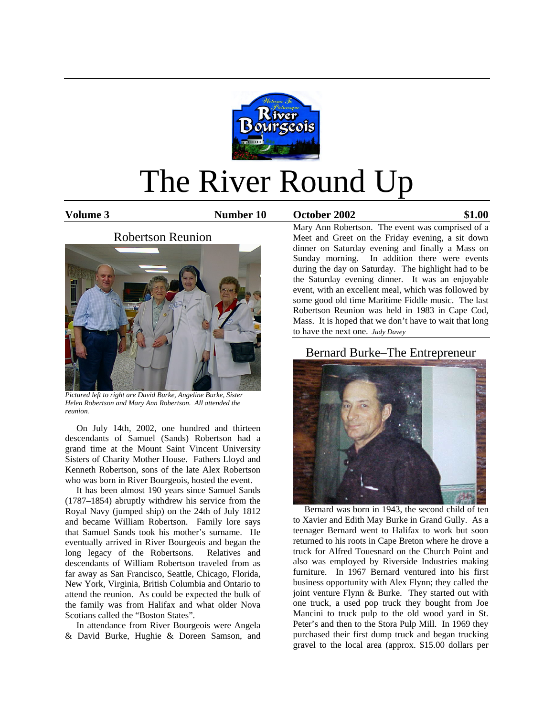

# The River Round Up

**Volume 3 Number 10 October 2002 \$1.00**



*Pictured left to right are David Burke, Angeline Burke, Sister Helen Robertson and Mary Ann Robertson. All attended the reunion.* 

 On July 14th, 2002, one hundred and thirteen descendants of Samuel (Sands) Robertson had a grand time at the Mount Saint Vincent University Sisters of Charity Mother House. Fathers Lloyd and Kenneth Robertson, sons of the late Alex Robertson who was born in River Bourgeois, hosted the event.

 It has been almost 190 years since Samuel Sands (1787–1854) abruptly withdrew his service from the Royal Navy (jumped ship) on the 24th of July 1812 and became William Robertson. Family lore says that Samuel Sands took his mother's surname. He eventually arrived in River Bourgeois and began the long legacy of the Robertsons. Relatives and descendants of William Robertson traveled from as far away as San Francisco, Seattle, Chicago, Florida, New York, Virginia, British Columbia and Ontario to attend the reunion. As could be expected the bulk of the family was from Halifax and what older Nova Scotians called the "Boston States".

 In attendance from River Bourgeois were Angela & David Burke, Hughie & Doreen Samson, and Mary Ann Robertson. The event was comprised of a Meet and Greet on the Friday evening, a sit down dinner on Saturday evening and finally a Mass on Sunday morning. In addition there were events during the day on Saturday. The highlight had to be the Saturday evening dinner. It was an enjoyable event, with an excellent meal, which was followed by some good old time Maritime Fiddle music. The last Robertson Reunion was held in 1983 in Cape Cod, Mass. It is hoped that we don't have to wait that long to have the next one. *Judy Davey*

### Bernard Burke–The Entrepreneur



 Bernard was born in 1943, the second child of ten to Xavier and Edith May Burke in Grand Gully. As a teenager Bernard went to Halifax to work but soon returned to his roots in Cape Breton where he drove a truck for Alfred Touesnard on the Church Point and also was employed by Riverside Industries making furniture. In 1967 Bernard ventured into his first business opportunity with Alex Flynn; they called the joint venture Flynn & Burke. They started out with one truck, a used pop truck they bought from Joe Mancini to truck pulp to the old wood yard in St. Peter's and then to the Stora Pulp Mill. In 1969 they purchased their first dump truck and began trucking gravel to the local area (approx. \$15.00 dollars per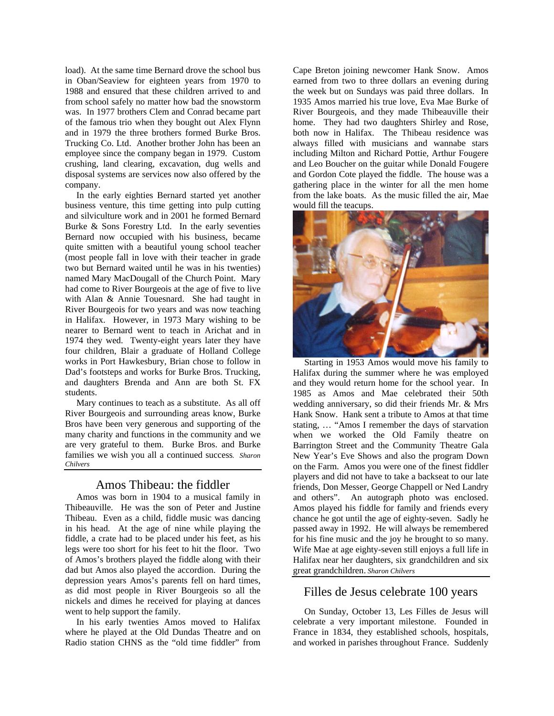load). At the same time Bernard drove the school bus in Oban/Seaview for eighteen years from 1970 to 1988 and ensured that these children arrived to and from school safely no matter how bad the snowstorm was. In 1977 brothers Clem and Conrad became part of the famous trio when they bought out Alex Flynn and in 1979 the three brothers formed Burke Bros. Trucking Co. Ltd. Another brother John has been an employee since the company began in 1979. Custom crushing, land clearing, excavation, dug wells and disposal systems are services now also offered by the company.

 In the early eighties Bernard started yet another business venture, this time getting into pulp cutting and silviculture work and in 2001 he formed Bernard Burke & Sons Forestry Ltd. In the early seventies Bernard now occupied with his business, became quite smitten with a beautiful young school teacher (most people fall in love with their teacher in grade two but Bernard waited until he was in his twenties) named Mary MacDougall of the Church Point. Mary had come to River Bourgeois at the age of five to live with Alan & Annie Touesnard. She had taught in River Bourgeois for two years and was now teaching in Halifax. However, in 1973 Mary wishing to be nearer to Bernard went to teach in Arichat and in 1974 they wed. Twenty-eight years later they have four children, Blair a graduate of Holland College works in Port Hawkesbury, Brian chose to follow in Dad's footsteps and works for Burke Bros. Trucking, and daughters Brenda and Ann are both St. FX students.

 Mary continues to teach as a substitute. As all off River Bourgeois and surrounding areas know, Burke Bros have been very generous and supporting of the many charity and functions in the community and we are very grateful to them. Burke Bros. and Burke families we wish you all a continued success*. Sharon Chilvers*

#### Amos Thibeau: the fiddler

 Amos was born in 1904 to a musical family in Thibeauville. He was the son of Peter and Justine Thibeau. Even as a child, fiddle music was dancing in his head. At the age of nine while playing the fiddle, a crate had to be placed under his feet, as his legs were too short for his feet to hit the floor. Two of Amos's brothers played the fiddle along with their dad but Amos also played the accordion. During the depression years Amos's parents fell on hard times, as did most people in River Bourgeois so all the nickels and dimes he received for playing at dances went to help support the family.

 In his early twenties Amos moved to Halifax where he played at the Old Dundas Theatre and on Radio station CHNS as the "old time fiddler" from Cape Breton joining newcomer Hank Snow. Amos earned from two to three dollars an evening during the week but on Sundays was paid three dollars. In 1935 Amos married his true love, Eva Mae Burke of River Bourgeois, and they made Thibeauville their home. They had two daughters Shirley and Rose, both now in Halifax. The Thibeau residence was always filled with musicians and wannabe stars including Milton and Richard Pottie, Arthur Fougere and Leo Boucher on the guitar while Donald Fougere and Gordon Cote played the fiddle. The house was a gathering place in the winter for all the men home from the lake boats. As the music filled the air, Mae would fill the teacups.



 Starting in 1953 Amos would move his family to Halifax during the summer where he was employed and they would return home for the school year. In 1985 as Amos and Mae celebrated their 50th wedding anniversary, so did their friends Mr. & Mrs Hank Snow. Hank sent a tribute to Amos at that time stating, … "Amos I remember the days of starvation when we worked the Old Family theatre on Barrington Street and the Community Theatre Gala New Year's Eve Shows and also the program Down on the Farm. Amos you were one of the finest fiddler players and did not have to take a backseat to our late friends, Don Messer, George Chappell or Ned Landry and others". An autograph photo was enclosed. Amos played his fiddle for family and friends every chance he got until the age of eighty-seven. Sadly he passed away in 1992. He will always be remembered for his fine music and the joy he brought to so many. Wife Mae at age eighty-seven still enjoys a full life in Halifax near her daughters, six grandchildren and six great grandchildren. *Sharon Chilvers* 

#### Filles de Jesus celebrate 100 years

 On Sunday, October 13, Les Filles de Jesus will celebrate a very important milestone. Founded in France in 1834, they established schools, hospitals, and worked in parishes throughout France. Suddenly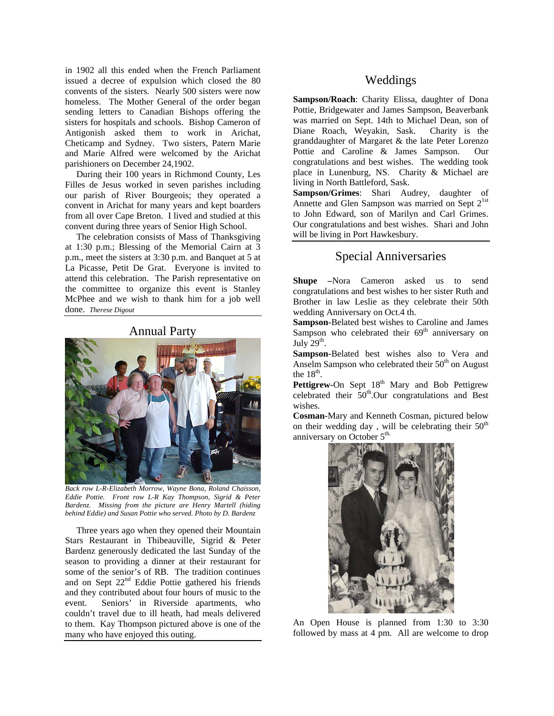in 1902 all this ended when the French Parliament issued a decree of expulsion which closed the 80 convents of the sisters. Nearly 500 sisters were now homeless. The Mother General of the order began sending letters to Canadian Bishops offering the sisters for hospitals and schools. Bishop Cameron of Antigonish asked them to work in Arichat, Cheticamp and Sydney. Two sisters, Patern Marie and Marie Alfred were welcomed by the Arichat parishioners on December 24,1902.

 During their 100 years in Richmond County, Les Filles de Jesus worked in seven parishes including our parish of River Bourgeois; they operated a convent in Arichat for many years and kept boarders from all over Cape Breton. I lived and studied at this convent during three years of Senior High School.

 The celebration consists of Mass of Thanksgiving at 1:30 p.m.; Blessing of the Memorial Cairn at 3 p.m., meet the sisters at 3:30 p.m. and Banquet at 5 at La Picasse, Petit De Grat. Everyone is invited to attend this celebration. The Parish representative on the committee to organize this event is Stanley McPhee and we wish to thank him for a job well done. *Therese Digout* 

#### Annual Party



*Back row L-R-Elizabeth Morrow, Wayne Bona, Roland Chaisson, Eddie Pottie. Front row L-R Kay Thompson, Sigrid & Peter Bardenz. Missing from the picture are Henry Martell (hiding behind Eddie) and Susan Pottie who served. Photo by D. Bardenz* 

 Three years ago when they opened their Mountain Stars Restaurant in Thibeauville, Sigrid & Peter Bardenz generously dedicated the last Sunday of the season to providing a dinner at their restaurant for some of the senior's of RB. The tradition continues and on Sept 22<sup>nd</sup> Eddie Pottie gathered his friends and they contributed about four hours of music to the event. Seniors' in Riverside apartments, who couldn't travel due to ill heath, had meals delivered to them. Kay Thompson pictured above is one of the many who have enjoyed this outing.

#### Weddings

**Sampson/Roach**: Charity Elissa, daughter of Dona Pottie, Bridgewater and James Sampson, Beaverbank was married on Sept. 14th to Michael Dean, son of Diane Roach, Weyakin, Sask. Charity is the granddaughter of Margaret & the late Peter Lorenzo Pottie and Caroline & James Sampson. Our congratulations and best wishes. The wedding took place in Lunenburg, NS. Charity & Michael are living in North Battleford, Sask.

**Sampson/Grimes**: Shari Audrey, daughter of Annette and Glen Sampson was married on Sept  $2^{1st}$ to John Edward, son of Marilyn and Carl Grimes. Our congratulations and best wishes. Shari and John will be living in Port Hawkesbury.

## Special Anniversaries

**Shupe –**Nora Cameron asked us to send congratulations and best wishes to her sister Ruth and Brother in law Leslie as they celebrate their 50th wedding Anniversary on Oct.4 th.

**Sampson-**Belated best wishes to Caroline and James Sampson who celebrated their 69<sup>th</sup> anniversary on July  $29<sup>th</sup>$ .

**Sampson-**Belated best wishes also to Vera and Anselm Sampson who celebrated their  $50<sup>th</sup>$  on August the  $18<sup>th</sup>$ .

**Pettigrew-On Sept 18<sup>th</sup> Mary and Bob Pettigrew** celebrated their  $50<sup>th</sup>$ .Our congratulations and Best wishes.

**Cosman-**Mary and Kenneth Cosman, pictured below on their wedding day, will be celebrating their  $50<sup>th</sup>$ anniversary on October  $5<sup>th</sup>$ .



An Open House is planned from 1:30 to 3:30 followed by mass at 4 pm. All are welcome to drop